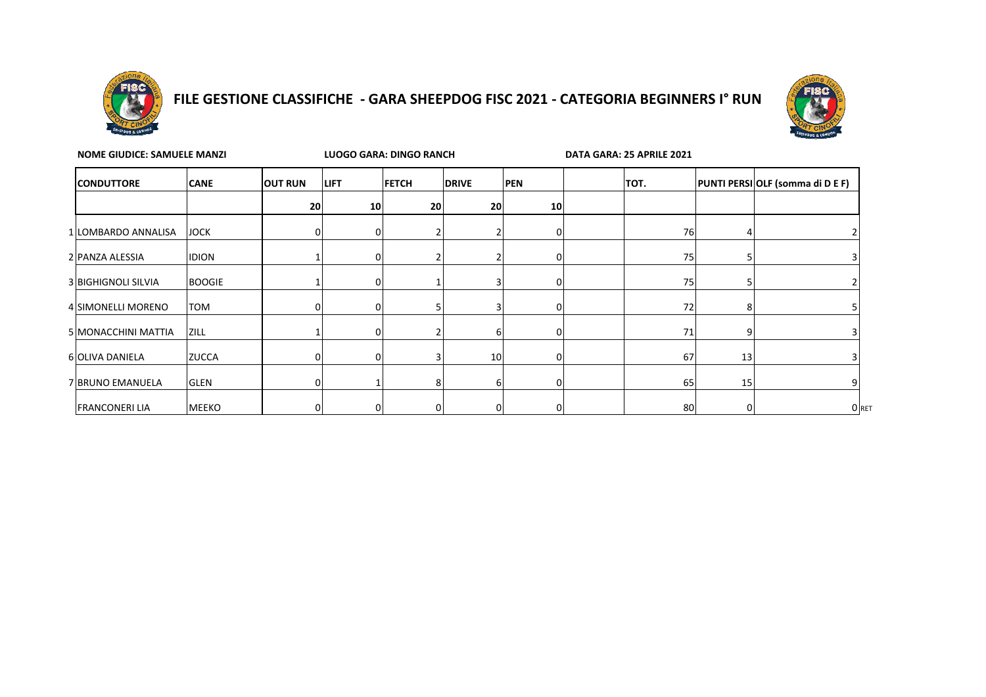

## **FILE GESTIONE CLASSIFICHE - GARA SHEEPDOG FISC 2021 - CATEGORIA BEGINNERS I° RUN**



| <b>NOME GIUDICE: SAMUELE MANZI</b> |               |                |              | LUOGO GARA: DINGO RANCH |                 |            | DATA GARA: 25 APRILE 2021 |    |    |                                  |  |
|------------------------------------|---------------|----------------|--------------|-------------------------|-----------------|------------|---------------------------|----|----|----------------------------------|--|
| <b>CONDUTTORE</b>                  | <b>CANE</b>   | <b>OUT RUN</b> | <b>LIFT</b>  | <b>FETCH</b>            | <b>DRIVE</b>    | <b>PEN</b> | TOT.                      |    |    | PUNTI PERSI OLF (somma di D E F) |  |
|                                    |               | 20             | 10           | 20                      | 20 <sub>l</sub> | 10         |                           |    |    |                                  |  |
| 1 LOMBARDO ANNALISA                | <b>JOCK</b>   |                |              |                         |                 | n          |                           | 76 |    |                                  |  |
| 2 PANZA ALESSIA                    | <b>IDION</b>  |                |              |                         |                 |            |                           | 75 |    |                                  |  |
| <b>3 BIGHIGNOLI SILVIA</b>         | <b>BOOGIE</b> |                |              |                         |                 | n          |                           | 75 |    |                                  |  |
| 4 SIMONELLI MORENO                 | <b>TOM</b>    | $\Omega$       | <sup>n</sup> |                         |                 |            |                           | 72 |    |                                  |  |
| 5 MONACCHINI MATTIA                | <b>ZILL</b>   |                |              |                         |                 | 0          |                           | 71 |    |                                  |  |
| 6 OLIVA DANIELA                    | <b>ZUCCA</b>  | $\Omega$       | $\Omega$     |                         | 10 <sup>1</sup> | 0          |                           | 67 | 13 |                                  |  |
| 7 BRUNO EMANUELA                   | <b>GLEN</b>   | 0              |              | 81                      | ь               | 0          |                           | 65 | 15 |                                  |  |
| <b>FRANCONERI LIA</b>              | <b>MEEKO</b>  | 0              | 0            | 0                       |                 | 0          |                           | 80 |    | O RET                            |  |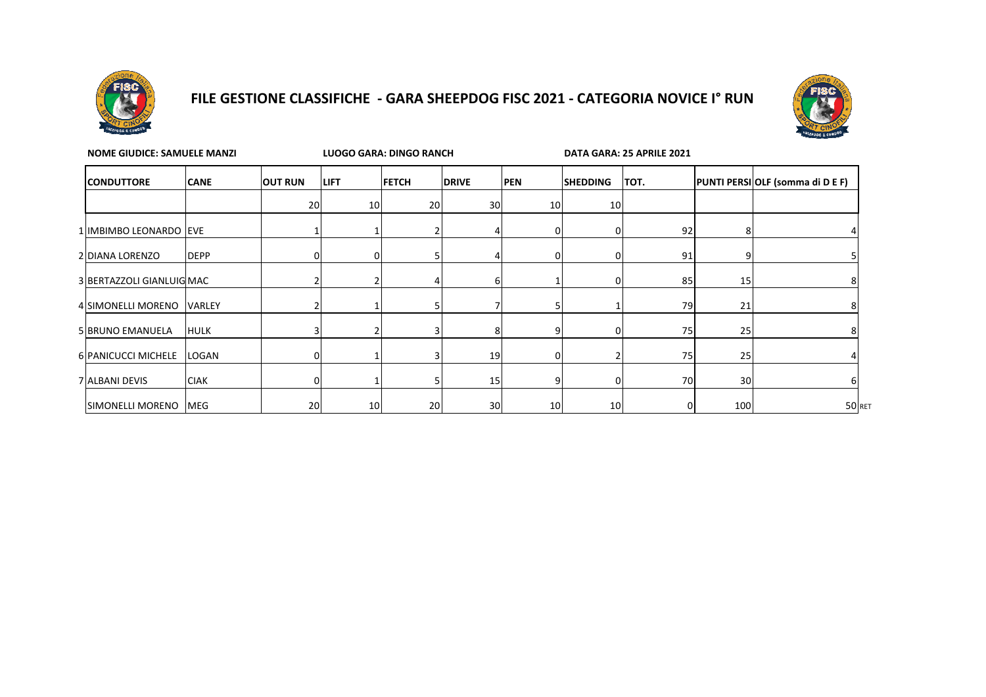

## **FILE GESTIONE CLASSIFICHE - GARA SHEEPDOG FISC 2021 - CATEGORIA NOVICE I° RUN**



| <b>NOME GIUDICE: SAMUELE MANZI</b> |             |                | LUOGO GARA: DINGO RANCH |              |                 |                 | DATA GARA: 25 APRILE 2021 |      |     |                                  |
|------------------------------------|-------------|----------------|-------------------------|--------------|-----------------|-----------------|---------------------------|------|-----|----------------------------------|
| <b>CONDUTTORE</b>                  | <b>CANE</b> | <b>OUT RUN</b> | <b>LIFT</b>             | <b>FETCH</b> | <b>DRIVE</b>    | <b>PEN</b>      | <b>SHEDDING</b>           | TOT. |     | PUNTI PERSI OLF (somma di D E F) |
|                                    |             | 20             | 10                      | 20           | 30              | 10 <sup>1</sup> | 10                        |      |     |                                  |
| 1 IMBIMBO LEONARDO EVE             |             |                |                         |              |                 |                 |                           | 92   |     |                                  |
| 2 DIANA LORENZO                    | <b>DEPP</b> |                | 0                       |              |                 |                 |                           | 91   |     |                                  |
| 3 BERTAZZOLI GIANLUIG MAC          |             |                |                         |              |                 |                 | O                         | 85   | 15  |                                  |
| 4 SIMONELLI MORENO VARLEY          |             |                |                         |              |                 |                 |                           | 79   | 21  |                                  |
| 5 BRUNO EMANUELA                   | <b>HULK</b> |                |                         |              |                 |                 |                           | 75   | 25  |                                  |
| 6 PANICUCCI MICHELE                | LOGAN       |                |                         |              | 19              |                 |                           | 75   | 25  |                                  |
| 7 ALBANI DEVIS                     | <b>CIAK</b> |                |                         |              | 15              |                 |                           | 70   | 30  |                                  |
| SIMONELLI MORENO MEG               |             | 20             | 10                      | 20           | 30 <sup>1</sup> | 10 <sup>1</sup> | 10                        | 0    | 100 | 50 RET                           |